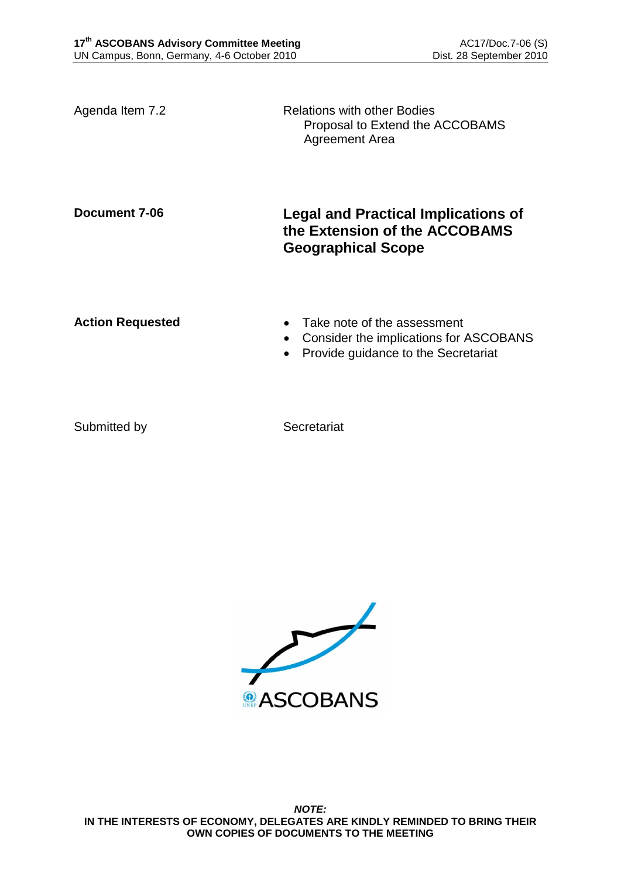| Agenda Item 7.2         | <b>Relations with other Bodies</b><br>Proposal to Extend the ACCOBAMS<br><b>Agreement Area</b>               |
|-------------------------|--------------------------------------------------------------------------------------------------------------|
| Document 7-06           | <b>Legal and Practical Implications of</b><br>the Extension of the ACCOBAMS<br><b>Geographical Scope</b>     |
| <b>Action Requested</b> | Take note of the assessment<br>Consider the implications for ASCOBANS<br>Provide guidance to the Secretariat |

Submitted by Secretariat

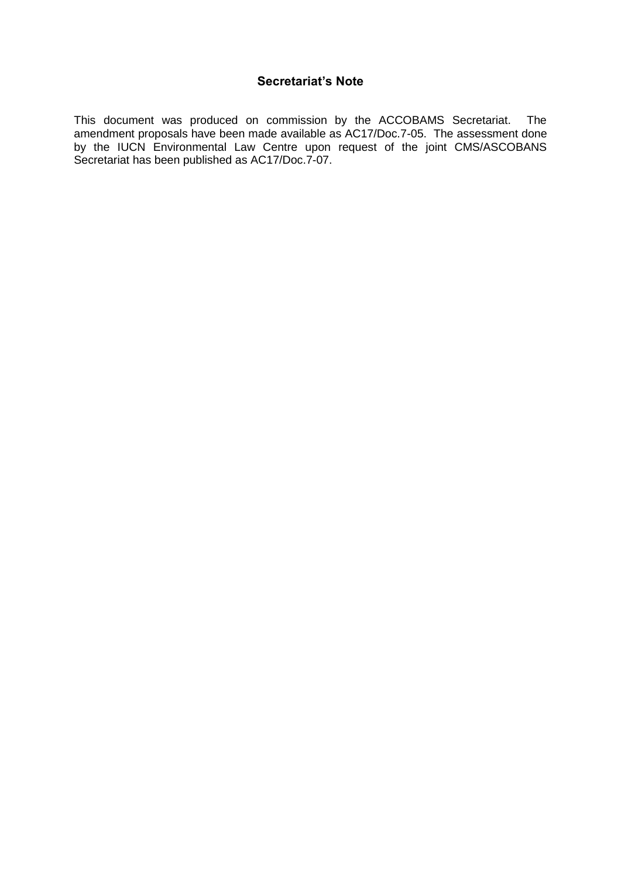This document was produced on commission by the ACCOBAMS Secretariat. The amendment proposals have been made available as AC17/Doc.7-05. The assessment done by the IUCN Environmental Law Centre upon request of the joint CMS/ASCOBANS Secretariat has been published as AC17/Doc.7-07.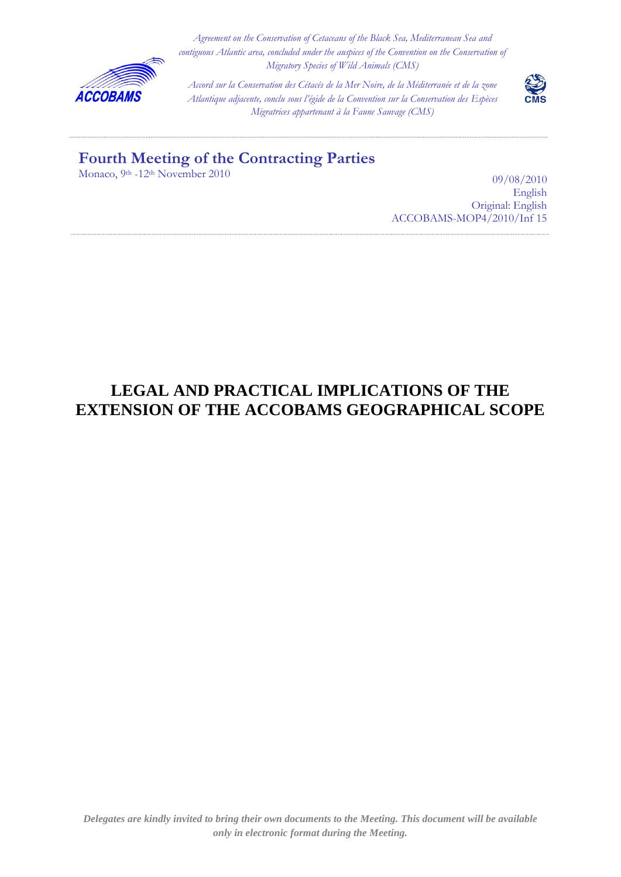

*Agreement on the Conservation of Cetaceans of the Black Sea, Mediterranean Sea and contiguous Atlantic area, concluded under the auspices of the Convention on the Conservation of Migratory Species of Wild Animals (CMS)*

*Accord sur la Conservation des Cétacés de la Mer Noire, de la Méditerranée et de la zone Atlantique adjacente, conclu sous l'égide de la Convention sur la Conservation des Espèces Migratrices appartenant à la Faune Sauvage (CMS)*



## **Fourth Meeting of the Contracting Parties**

Monaco, 9<sup>th</sup> -12<sup>th</sup> November 2010

09/08/2010 English Original: English ACCOBAMS-MOP4/2010/Inf 15

# **LEGAL AND PRACTICAL IMPLICATIONS OF THE EXTENSION OF THE ACCOBAMS GEOGRAPHICAL SCOPE**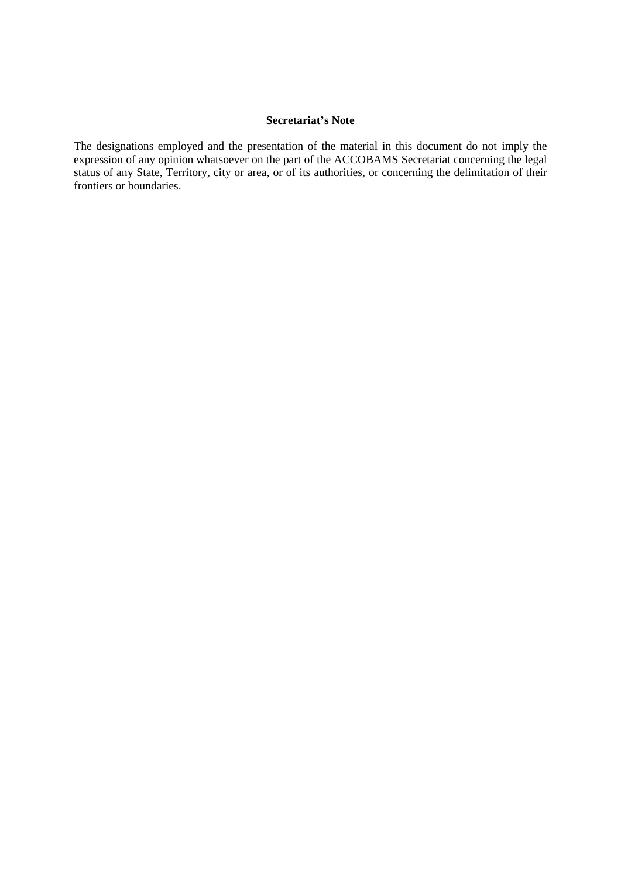### **Secretariat's Note**

The designations employed and the presentation of the material in this document do not imply the expression of any opinion whatsoever on the part of the ACCOBAMS Secretariat concerning the legal status of any State, Territory, city or area, or of its authorities, or concerning the delimitation of their frontiers or boundaries.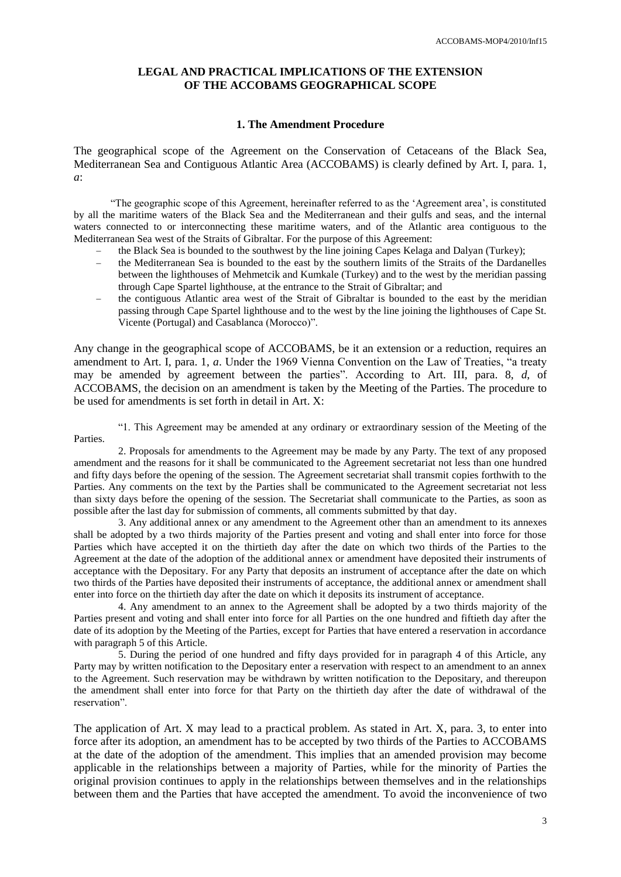#### **LEGAL AND PRACTICAL IMPLICATIONS OF THE EXTENSION OF THE ACCOBAMS GEOGRAPHICAL SCOPE**

#### **1. The Amendment Procedure**

The geographical scope of the Agreement on the Conservation of Cetaceans of the Black Sea, Mediterranean Sea and Contiguous Atlantic Area (ACCOBAMS) is clearly defined by Art. I, para. 1, *a*:

"The geographic scope of this Agreement, hereinafter referred to as the "Agreement area", is constituted by all the maritime waters of the Black Sea and the Mediterranean and their gulfs and seas, and the internal waters connected to or interconnecting these maritime waters, and of the Atlantic area contiguous to the Mediterranean Sea west of the Straits of Gibraltar. For the purpose of this Agreement:

- the Black Sea is bounded to the southwest by the line joining Capes Kelaga and Dalyan (Turkey);
- the Mediterranean Sea is bounded to the east by the southern limits of the Straits of the Dardanelles between the lighthouses of Mehmetcik and Kumkale (Turkey) and to the west by the meridian passing through Cape Spartel lighthouse, at the entrance to the Strait of Gibraltar; and
- the contiguous Atlantic area west of the Strait of Gibraltar is bounded to the east by the meridian passing through Cape Spartel lighthouse and to the west by the line joining the lighthouses of Cape St. Vicente (Portugal) and Casablanca (Morocco)".

Any change in the geographical scope of ACCOBAMS, be it an extension or a reduction, requires an amendment to Art. I, para. 1, *a*. Under the 1969 Vienna Convention on the Law of Treaties, "a treaty may be amended by agreement between the parties". According to Art. III, para. 8, *d*, of ACCOBAMS, the decision on an amendment is taken by the Meeting of the Parties. The procedure to be used for amendments is set forth in detail in Art. X:

"1. This Agreement may be amended at any ordinary or extraordinary session of the Meeting of the Parties.

2. Proposals for amendments to the Agreement may be made by any Party. The text of any proposed amendment and the reasons for it shall be communicated to the Agreement secretariat not less than one hundred and fifty days before the opening of the session. The Agreement secretariat shall transmit copies forthwith to the Parties. Any comments on the text by the Parties shall be communicated to the Agreement secretariat not less than sixty days before the opening of the session. The Secretariat shall communicate to the Parties, as soon as possible after the last day for submission of comments, all comments submitted by that day.

3. Any additional annex or any amendment to the Agreement other than an amendment to its annexes shall be adopted by a two thirds majority of the Parties present and voting and shall enter into force for those Parties which have accepted it on the thirtieth day after the date on which two thirds of the Parties to the Agreement at the date of the adoption of the additional annex or amendment have deposited their instruments of acceptance with the Depositary. For any Party that deposits an instrument of acceptance after the date on which two thirds of the Parties have deposited their instruments of acceptance, the additional annex or amendment shall enter into force on the thirtieth day after the date on which it deposits its instrument of acceptance.

4. Any amendment to an annex to the Agreement shall be adopted by a two thirds majority of the Parties present and voting and shall enter into force for all Parties on the one hundred and fiftieth day after the date of its adoption by the Meeting of the Parties, except for Parties that have entered a reservation in accordance with paragraph 5 of this Article.

5. During the period of one hundred and fifty days provided for in paragraph 4 of this Article, any Party may by written notification to the Depositary enter a reservation with respect to an amendment to an annex to the Agreement. Such reservation may be withdrawn by written notification to the Depositary, and thereupon the amendment shall enter into force for that Party on the thirtieth day after the date of withdrawal of the reservation".

The application of Art. X may lead to a practical problem. As stated in Art. X, para. 3, to enter into force after its adoption, an amendment has to be accepted by two thirds of the Parties to ACCOBAMS at the date of the adoption of the amendment. This implies that an amended provision may become applicable in the relationships between a majority of Parties, while for the minority of Parties the original provision continues to apply in the relationships between themselves and in the relationships between them and the Parties that have accepted the amendment. To avoid the inconvenience of two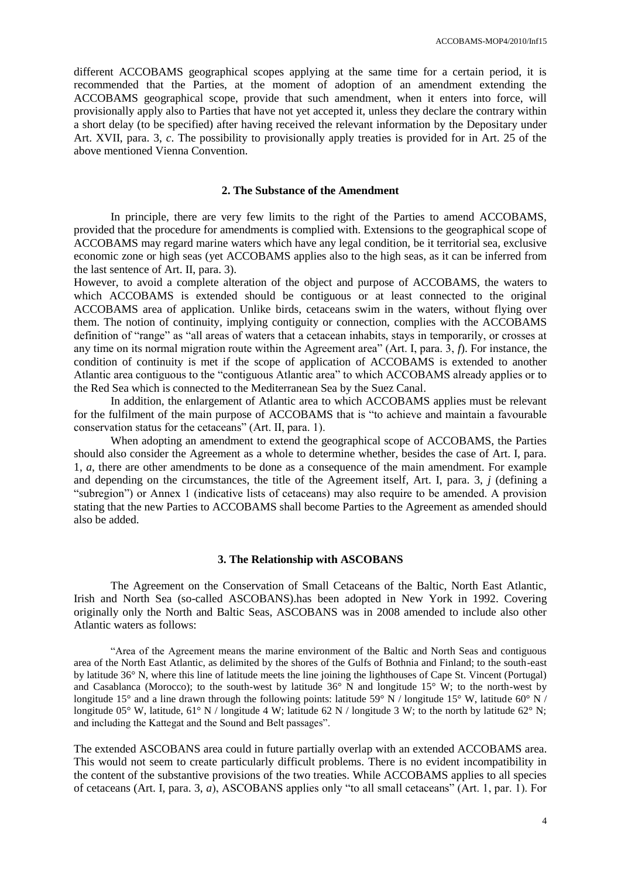different ACCOBAMS geographical scopes applying at the same time for a certain period, it is recommended that the Parties, at the moment of adoption of an amendment extending the ACCOBAMS geographical scope, provide that such amendment, when it enters into force, will provisionally apply also to Parties that have not yet accepted it, unless they declare the contrary within a short delay (to be specified) after having received the relevant information by the Depositary under Art. XVII, para. 3, *c*. The possibility to provisionally apply treaties is provided for in Art. 25 of the above mentioned Vienna Convention.

#### **2. The Substance of the Amendment**

In principle, there are very few limits to the right of the Parties to amend ACCOBAMS, provided that the procedure for amendments is complied with. Extensions to the geographical scope of ACCOBAMS may regard marine waters which have any legal condition, be it territorial sea, exclusive economic zone or high seas (yet ACCOBAMS applies also to the high seas, as it can be inferred from the last sentence of Art. II, para. 3).

However, to avoid a complete alteration of the object and purpose of ACCOBAMS, the waters to which ACCOBAMS is extended should be contiguous or at least connected to the original ACCOBAMS area of application. Unlike birds, cetaceans swim in the waters, without flying over them. The notion of continuity, implying contiguity or connection, complies with the ACCOBAMS definition of "range" as "all areas of waters that a cetacean inhabits, stays in temporarily, or crosses at any time on its normal migration route within the Agreement area" (Art. I, para. 3, *f*). For instance, the condition of continuity is met if the scope of application of ACCOBAMS is extended to another Atlantic area contiguous to the "contiguous Atlantic area" to which ACCOBAMS already applies or to the Red Sea which is connected to the Mediterranean Sea by the Suez Canal.

In addition, the enlargement of Atlantic area to which ACCOBAMS applies must be relevant for the fulfilment of the main purpose of ACCOBAMS that is "to achieve and maintain a favourable conservation status for the cetaceans" (Art. II, para. 1).

When adopting an amendment to extend the geographical scope of ACCOBAMS, the Parties should also consider the Agreement as a whole to determine whether, besides the case of Art. I, para. 1, *a*, there are other amendments to be done as a consequence of the main amendment. For example and depending on the circumstances, the title of the Agreement itself, Art. I, para. 3, *j* (defining a "subregion") or Annex 1 (indicative lists of cetaceans) may also require to be amended. A provision stating that the new Parties to ACCOBAMS shall become Parties to the Agreement as amended should also be added.

#### **3. The Relationship with ASCOBANS**

The Agreement on the Conservation of Small Cetaceans of the Baltic, North East Atlantic, Irish and North Sea (so-called ASCOBANS).has been adopted in New York in 1992. Covering originally only the North and Baltic Seas, ASCOBANS was in 2008 amended to include also other Atlantic waters as follows:

"Area of the Agreement means the marine environment of the Baltic and North Seas and contiguous area of the North East Atlantic, as delimited by the shores of the Gulfs of Bothnia and Finland; to the south-east by latitude 36° N, where this line of latitude meets the line joining the lighthouses of Cape St. Vincent (Portugal) and Casablanca (Morocco); to the south-west by latitude  $36^{\circ}$  N and longitude  $15^{\circ}$  W; to the north-west by longitude 15° and a line drawn through the following points: latitude 59° N / longitude 15° W, latitude 60° N / longitude 05° W, latitude, 61° N / longitude 4 W; latitude 62 N / longitude 3 W; to the north by latitude 62° N; and including the Kattegat and the Sound and Belt passages".

The extended ASCOBANS area could in future partially overlap with an extended ACCOBAMS area. This would not seem to create particularly difficult problems. There is no evident incompatibility in the content of the substantive provisions of the two treaties. While ACCOBAMS applies to all species of cetaceans (Art. I, para. 3, *a*), ASCOBANS applies only "to all small cetaceans" (Art. 1, par. 1). For